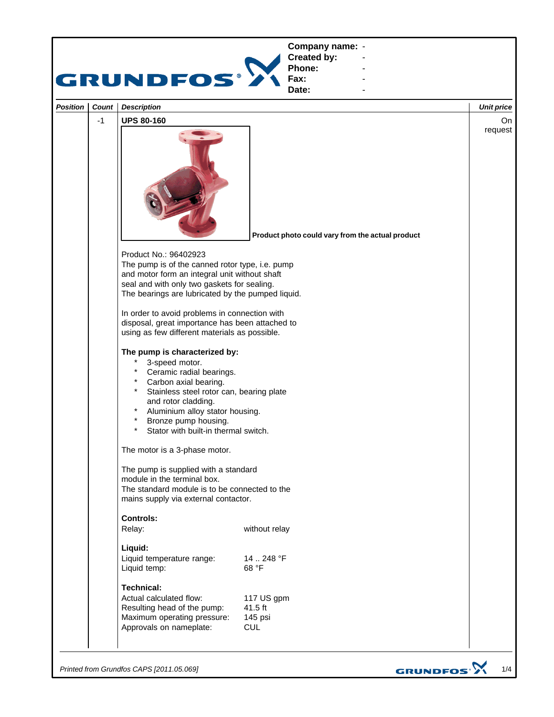

*Printed from Grundfos CAPS [2011.05.069]*

GRUNDFOS<sup>.</sup>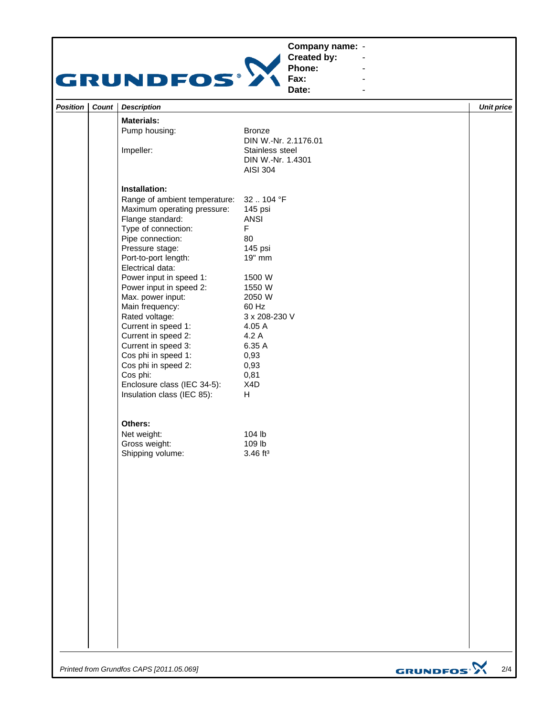## **Company name: -** Construction of the construction



**Created by: Phone:**

**Fax: Date:**

**-** Construction of the construction **-** Construction of the construction **-** Construction of the construction

|          |       | Date:<br>$\blacksquare$              |                        |                   |  |
|----------|-------|--------------------------------------|------------------------|-------------------|--|
| Position | Count | <b>Description</b>                   |                        | <b>Unit price</b> |  |
|          |       | <b>Materials:</b>                    |                        |                   |  |
|          |       | Pump housing:                        | <b>Bronze</b>          |                   |  |
|          |       |                                      | DIN W.-Nr. 2.1176.01   |                   |  |
|          |       | Impeller:                            | Stainless steel        |                   |  |
|          |       |                                      | DIN W.-Nr. 1.4301      |                   |  |
|          |       |                                      | <b>AISI 304</b>        |                   |  |
|          |       | Installation:                        |                        |                   |  |
|          |       | Range of ambient temperature:        | 32104 °F               |                   |  |
|          |       | Maximum operating pressure:          | 145 psi                |                   |  |
|          |       | Flange standard:                     | <b>ANSI</b>            |                   |  |
|          |       | Type of connection:                  | $\mathsf F$            |                   |  |
|          |       | Pipe connection:                     | 80                     |                   |  |
|          |       | Pressure stage:                      | 145 psi                |                   |  |
|          |       | Port-to-port length:                 | 19" mm                 |                   |  |
|          |       | Electrical data:                     |                        |                   |  |
|          |       | Power input in speed 1:              | 1500 W                 |                   |  |
|          |       | Power input in speed 2:              | 1550 W                 |                   |  |
|          |       | Max. power input:<br>Main frequency: | 2050 W<br>60 Hz        |                   |  |
|          |       | Rated voltage:                       | 3 x 208-230 V          |                   |  |
|          |       | Current in speed 1:                  | 4.05 A                 |                   |  |
|          |       | Current in speed 2:                  | 4.2 A                  |                   |  |
|          |       | Current in speed 3:                  | 6.35 A                 |                   |  |
|          |       | Cos phi in speed 1:                  | 0,93                   |                   |  |
|          |       | Cos phi in speed 2:                  | 0,93                   |                   |  |
|          |       | Cos phi:                             | 0,81                   |                   |  |
|          |       | Enclosure class (IEC 34-5):          | X4D                    |                   |  |
|          |       | Insulation class (IEC 85):           | H                      |                   |  |
|          |       | Others:                              |                        |                   |  |
|          |       | Net weight:                          | 104 lb                 |                   |  |
|          |       | Gross weight:                        | 109 lb                 |                   |  |
|          |       | Shipping volume:                     | $3.46$ ft <sup>3</sup> |                   |  |
|          |       |                                      |                        |                   |  |
|          |       |                                      |                        |                   |  |
|          |       |                                      |                        |                   |  |
|          |       |                                      |                        |                   |  |
|          |       |                                      |                        |                   |  |
|          |       |                                      |                        |                   |  |
|          |       |                                      |                        |                   |  |
|          |       |                                      |                        |                   |  |
|          |       |                                      |                        |                   |  |
|          |       |                                      |                        |                   |  |
|          |       |                                      |                        |                   |  |
|          |       |                                      |                        |                   |  |
|          |       |                                      |                        |                   |  |
|          |       |                                      |                        |                   |  |
|          |       |                                      |                        |                   |  |
|          |       |                                      |                        |                   |  |
|          |       |                                      |                        |                   |  |
|          |       |                                      |                        |                   |  |
|          |       |                                      |                        |                   |  |

*Printed from Grundfos CAPS [2011.05.069]*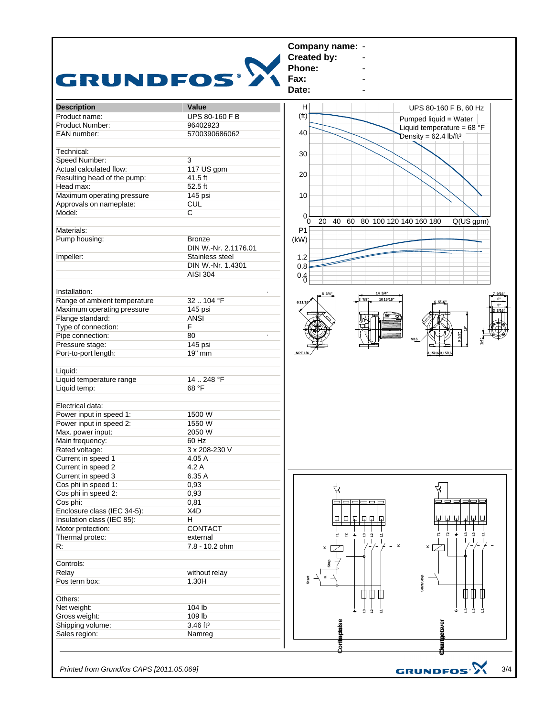

*Printed from Grundfos CAPS [2011.05.069]*

3/4